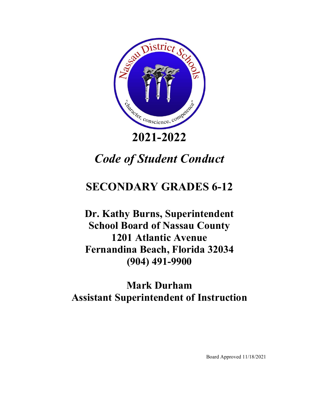

# *Code of Student Conduct*

# **SECONDARY GRADES 6-12**

**Dr. Kathy Burns, Superintendent School Board of Nassau County 1201 Atlantic Avenue Fernandina Beach, Florida 32034 (904) 491-9900**

# **Mark Durham Assistant Superintendent of Instruction**

Board Approved 11/18/2021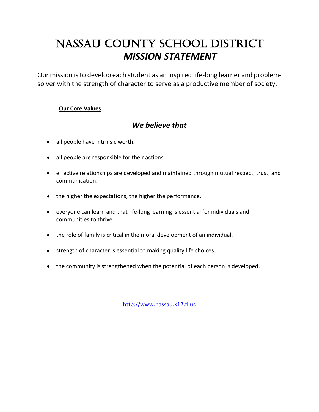# NASSAU COUNTY SCHOOL DISTRICT *MISSION STATEMENT*

Our mission is to develop each student as an inspired life-long learner and problemsolver with the strength of character to serve as a productive member of society.

### **Our Core Values**

# *We believe that*

- all people have intrinsic worth.
- all people are responsible for their actions.
- effective relationships are developed and maintained through mutual respect, trust, and communication.
- the higher the expectations, the higher the performance.
- everyone can learn and that life-long learning is essential for individuals and communities to thrive.
- the role of family is critical in the moral development of an individual.
- strength of character is essential to making quality life choices.
- the community is strengthened when the potential of each person is developed.

[http://www.nassau.k12.fl.us](http://www.nassau.k12.fl.us/)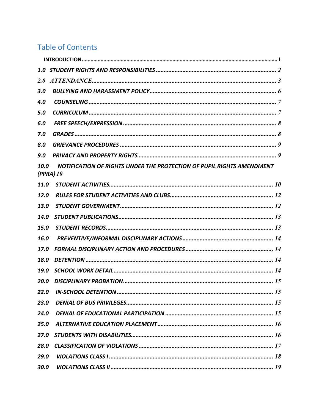# **Table of Contents**

| 2.0         |                                                                                      |  |
|-------------|--------------------------------------------------------------------------------------|--|
| 3.0         |                                                                                      |  |
| 4.0         |                                                                                      |  |
| 5.0         |                                                                                      |  |
| 6.0         |                                                                                      |  |
| 7.0         |                                                                                      |  |
| 8.0         |                                                                                      |  |
| 9.0         |                                                                                      |  |
| 10.0        | NOTIFICATION OF RIGHTS UNDER THE PROTECTION OF PUPIL RIGHTS AMENDMENT<br>$(PPRA)$ 10 |  |
| 11.0        |                                                                                      |  |
| <b>12.0</b> |                                                                                      |  |
| 13.0        |                                                                                      |  |
| 14.0        |                                                                                      |  |
| 15.0        |                                                                                      |  |
| 16.0        |                                                                                      |  |
| 17.0        |                                                                                      |  |
| 18.0        |                                                                                      |  |
| <b>19.0</b> |                                                                                      |  |
| 20.0        |                                                                                      |  |
| 22.0        |                                                                                      |  |
| 23.0        |                                                                                      |  |
| 24.0        |                                                                                      |  |
| 25.0        |                                                                                      |  |
| 27.0        |                                                                                      |  |
| 28.0        |                                                                                      |  |
| 29.0        |                                                                                      |  |
| 30.0        |                                                                                      |  |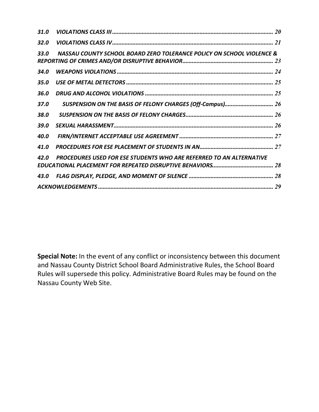| 31.0        |                                                                            |  |
|-------------|----------------------------------------------------------------------------|--|
| 32.0        |                                                                            |  |
| <b>33.0</b> | NASSAU COUNTY SCHOOL BOARD ZERO TOLERANCE POLICY ON SCHOOL VIOLENCE &      |  |
|             |                                                                            |  |
| 34.0        |                                                                            |  |
| 35.O        |                                                                            |  |
| 36.0        |                                                                            |  |
| <b>37.0</b> |                                                                            |  |
| 38.0        |                                                                            |  |
| 39.0        |                                                                            |  |
| 40.0        |                                                                            |  |
| 41.0        |                                                                            |  |
| 42.0        | <b>PROCEDURES USED FOR ESE STUDENTS WHO ARE REFERRED TO AN ALTERNATIVE</b> |  |
|             |                                                                            |  |
|             |                                                                            |  |
|             |                                                                            |  |

**Special Note:** In the event of any conflict or inconsistency between this document and Nassau County District School Board Administrative Rules, the School Board Rules will supersede this policy. Administrative Board Rules may be found on the Nassau County Web Site.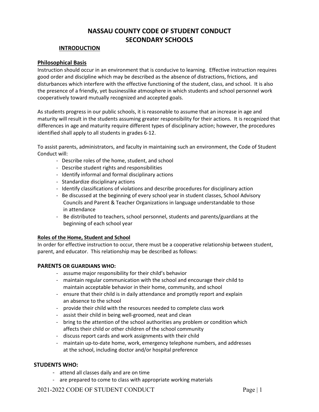# **NASSAU COUNTY CODE OF STUDENT CONDUCT SECONDARY SCHOOLS**

#### **INTRODUCTION**

#### <span id="page-4-0"></span>**Philosophical Basis**

Instruction should occur in an environment that is conducive to learning. Effective instruction requires good order and discipline which may be described as the absence of distractions, frictions, and disturbances which interfere with the effective functioning of the student, class, and school. It is also the presence of a friendly, yet businesslike atmosphere in which students and school personnel work cooperatively toward mutually recognized and accepted goals.

As students progress in our public schools, it is reasonable to assume that an increase in age and maturity will result in the students assuming greater responsibility for their actions. It is recognized that differences in age and maturity require different types of disciplinary action; however, the procedures identified shall apply to all students in grades 6-12.

To assist parents, administrators, and faculty in maintaining such an environment, the Code of Student Conduct will:

- Describe roles of the home, student, and school
- Describe student rights and responsibilities
- Identify informal and formal disciplinary actions
- Standardize disciplinary actions
- Identify classifications of violations and describe procedures for disciplinary action
- Be discussed at the beginning of every school year in student classes, School Advisory Councils and Parent & Teacher Organizations in language understandable to those in attendance
- Be distributed to teachers, school personnel, students and parents/guardians at the beginning of each school year

#### **Roles of the Home, Student and School**

In order for effective instruction to occur, there must be a cooperative relationship between student, parent, and educator. This relationship may be described as follows:

#### **PARENTS OR GUARDIANS WHO:**

- assume major responsibility for their child's behavior
- maintain regular communication with the school and encourage their child to maintain acceptable behavior in their home, community, and school
- ensure that their child is in daily attendance and promptly report and explain an absence to the school
- provide their child with the resources needed to complete class work
- assist their child in being well-groomed, neat and clean
- bring to the attention of the school authorities any problem or condition which affects their child or other children of the school community
- discuss report cards and work assignments with their child
- maintain up-to-date home, work, emergency telephone numbers, and addresses at the school, including doctor and/or hospital preference

#### **STUDENTS WHO:**

- attend all classes daily and are on time
- are prepared to come to class with appropriate working materials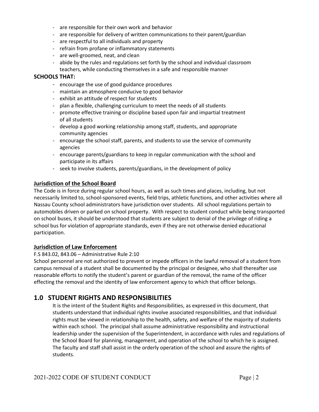- are responsible for their own work and behavior
- are responsible for delivery of written communications to their parent/guardian
- are respectful to all individuals and property
- refrain from profane or inflammatory statements
- are well-groomed, neat, and clean
- abide by the rules and regulations set forth by the school and individual classroom teachers, while conducting themselves in a safe and responsible manner

#### **SCHOOLS THAT:**

- encourage the use of good guidance procedures
- maintain an atmosphere conducive to good behavior
- exhibit an attitude of respect for students
- plan a flexible, challenging curriculum to meet the needs of all students
- promote effective training or discipline based upon fair and impartial treatment of all students
- develop a good working relationship among staff, students, and appropriate community agencies
- encourage the school staff, parents, and students to use the service of community agencies
- encourage parents/guardians to keep in regular communication with the school and participate in its affairs
- seek to involve students, parents/guardians, in the development of policy

#### **Jurisdiction of the School Board**

The Code is in force during regular school hours, as well as such times and places, including, but not necessarily limited to, school-sponsored events, field trips, athletic functions, and other activities where all Nassau County school administrators have jurisdiction over students. All school regulations pertain to automobiles driven or parked on school property. With respect to student conduct while being transported on school buses, it should be understood that students are subject to denial of the privilege of riding a school bus for violation of appropriate standards, even if they are not otherwise denied educational participation.

#### **Jurisdiction of Law Enforcement**

#### F.S 843.02, 843.06 – Administrative Rule 2:10

School personnel are not authorized to prevent or impede officers in the lawful removal of a student from campus removal of a student shall be documented by the principal or designee, who shall thereafter use reasonable efforts to notify the student's parent or guardian of the removal, the name of the officer effecting the removal and the identity of law enforcement agency to which that officer belongs.

### <span id="page-5-0"></span>**1.0 STUDENT RIGHTS AND RESPONSIBILITIES**

It is the intent of the Student Rights and Responsibilities, as expressed in this document, that students understand that individual rights involve associated responsibilities, and that individual rights must be viewed in relationship to the health, safety, and welfare of the majority of students within each school. The principal shall assume administrative responsibility and instructional leadership under the supervision of the Superintendent, in accordance with rules and regulations of the School Board for planning, management, and operation of the school to which he is assigned. The faculty and staff shall assist in the orderly operation of the school and assure the rights of students.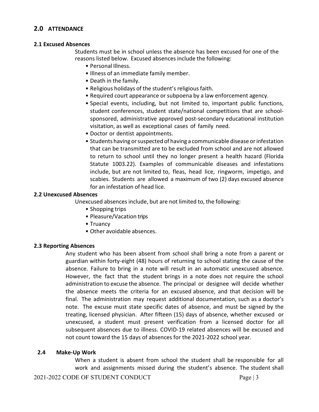### <span id="page-6-0"></span>**2.0 ATTENDANCE**

#### **2.1 Excused Absences**

Students must be in school unless the absence has been excused for one of the reasons listed below. Excused absences include the following:

- Personal Illness.
- Illness of an immediate family member.
- Death in the family.
- Religious holidays of the student's religious faith.
- Required court appearance or subpoena by a law enforcement agency.
- Special events, including, but not limited to, important public functions, student conferences, student state/national competitions that are schoolsponsored, administrative approved post-secondary educational institution visitation, as well as exceptional cases of family need.
- Doctor or dentist appointments.
- Students having or suspected of having a communicable disease or infestation that can be transmitted are to be excluded from school and are not allowed to return to school until they no longer present a health hazard (Florida Statute 1003.22). Examples of communicable diseases and infestations include, but are not limited to, fleas, head lice, ringworm, impetigo, and scabies. Students are allowed a maximum of two (2) days excused absence for an infestation of head lice.

#### **2.2 Unexcused Absences**

Unexcused absences include, but are not limited to, the following:

- Shopping trips
- Pleasure/Vacation trips
- Truancy
- Other avoidable absences.

#### **2.3 Reporting Absences**

Any student who has been absent from school shall bring a note from a parent or guardian within forty-eight (48) hours of returning to school stating the cause of the absence. Failure to bring in a note will result in an automatic unexcused absence. However, the fact that the student brings in a note does not require the school administration to excuse the absence. The principal or designee will decide whether the absence meets the criteria for an excused absence, and that decision will be final. The administration may request additional documentation, such as a doctor's note. The excuse must state specific dates of absence, and must be signed by the treating, licensed physician. After fifteen (15) days of absence, whether excused or unexcused, a student must present verification from a licensed doctor for all subsequent absences due to illness. COVID-19 related absences will be excused and not count toward the 15 days of absences for the 2021-2022 school year.

#### **2.4 Make‐Up Work**

When a student is absent from school the student shall be responsible for all work and assignments missed during the student's absence. The student shall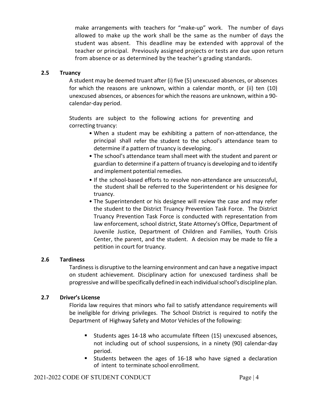make arrangements with teachers for "make-up" work. The number of days allowed to make up the work shall be the same as the number of days the student was absent. This deadline may be extended with approval of the teacher or principal. Previously assigned projects or tests are due upon return from absence or as determined by the teacher's grading standards.

#### **2.5 Truancy**

A student may be deemed truant after (i) five (5) unexcused absences, or absences for which the reasons are unknown, within a calendar month, or (ii) ten (10) unexcused absences, or absencesfor which the reasons are unknown, within a 90 calendar-day period.

Students are subject to the following actions for preventing and correcting truancy:

- When a student may be exhibiting a pattern of non-attendance, the principal shall refer the student to the school's attendance team to determine if a pattern of truancy is developing.
- The school's attendance team shall meet with the student and parent or guardian to determine if a pattern of truancy is developing and to identify and implement potential remedies.
- If the school-based efforts to resolve non-attendance are unsuccessful, the student shall be referred to the Superintendent or his designee for truancy.
- The Superintendent or his designee will review the case and may refer the student to the District Truancy Prevention Task Force. The District Truancy Prevention Task Force is conducted with representation from law enforcement, school district, State Attorney's Office, Department of Juvenile Justice, Department of Children and Families, Youth Crisis Center, the parent, and the student. A decision may be made to file a petition in court for truancy.

#### **2.6 Tardiness**

Tardinessis disruptive to the learning environment and can have a negative impact on student achievement. Disciplinary action for unexcused tardiness shall be progressive andwillbespecificallydefinedineach individualschool'sdiscipline plan.

### **2.7 Driver's License**

Florida law requires that minors who fail to satisfy attendance requirements will be ineligible for driving privileges. The School District is required to notify the Department of Highway Safety and Motor Vehicles of the following:

- Students ages 14-18 who accumulate fifteen (15) unexcused absences, not including out of school suspensions, in a ninety (90) calendar-day period.
- Students between the ages of 16-18 who have signed a declaration of intent to terminate school enrollment.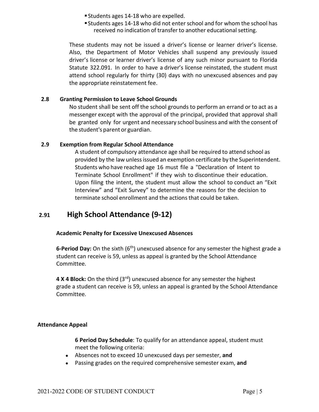- Students ages 14-18 who are expelled.
- Students ages 14-18 who did not enter school and for whom the school has received no indication of transfer to another educational setting.

These students may not be issued a driver's license or learner driver's license. Also, the Department of Motor Vehicles shall suspend any previously issued driver's license or learner driver's license of any such minor pursuant to Florida Statute 322.091. In order to have a driver's license reinstated, the student must attend school regularly for thirty (30) days with no unexcused absences and pay the appropriate reinstatement fee.

### **2.8 Granting Permission to Leave School Grounds**

No student shall be sent off the school grounds to perform an errand or to act as a messenger except with the approval of the principal, provided that approval shall be granted only for urgent and necessary school business and with the consent of the student's parent or guardian.

#### **2.9 Exemption from Regular School Attendance**

A student of compulsory attendance age shall be required to attend school as provided by the law unlessissued an exemption certificate by the Superintendent. Students who have reached age 16 must file a "Declaration of Intent to Terminate School Enrollment" if they wish to discontinue their education. Upon filing the intent, the student must allow the school to conduct an "Exit Interview" and "Exit Survey" to determine the reasons for the decision to terminate school enrollment and the actions that could be taken.

# **2.91 High School Attendance (9-12)**

### **Academic Penalty for Excessive Unexcused Absences**

6-Period Day: On the sixth (6<sup>th</sup>) unexcused absence for any semester the highest grade a student can receive is 59, unless as appeal is granted by the School Attendance Committee.

**4 X 4 Block:** On the third (3rd) unexcused absence for any semester the highest grade a student can receive is 59, unless an appeal is granted by the School Attendance Committee.

### **Attendance Appeal**

**6 Period Day Schedule**: To qualify for an attendance appeal, student must meet the following criteria:

- Absences not to exceed 10 unexcused days per semester, **and**
- Passing grades on the required comprehensive semester exam, **and**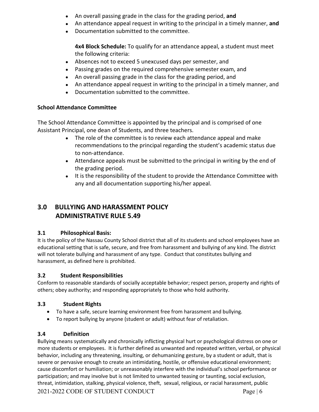- An overall passing grade in the class for the grading period, **and**
- An attendance appeal request in writing to the principal in a timely manner, **and**
- Documentation submitted to the committee.

**4x4 Block Schedule:** To qualify for an attendance appeal, a student must meet the following criteria:

- Absences not to exceed 5 unexcused days per semester, and
- Passing grades on the required comprehensive semester exam, and
- An overall passing grade in the class for the grading period, and
- An attendance appeal request in writing to the principal in a timely manner, and
- Documentation submitted to the committee.

### **School Attendance Committee**

The School Attendance Committee is appointed by the principal and is comprised of one Assistant Principal, one dean of Students, and three teachers.

- The role of the committee is to review each attendance appeal and make recommendations to the principal regarding the student's academic status due to non-attendance.
- Attendance appeals must be submitted to the principal in writing by the end of the grading period.
- It is the responsibility of the student to provide the Attendance Committee with any and all documentation supporting his/her appeal.

# <span id="page-9-0"></span>**3.0 BULLYING AND HARASSMENT POLICY ADMINISTRATIVE RULE 5.49**

### **3.1 Philosophical Basis:**

It is the policy of the Nassau County School district that all of its students and school employees have an educational setting that is safe, secure, and free from harassment and bullying of any kind. The district will not tolerate bullying and harassment of any type. Conduct that constitutes bullying and harassment, as defined here is prohibited.

### **3.2 Student Responsibilities**

Conform to reasonable standards of socially acceptable behavior; respect person, property and rights of others; obey authority; and responding appropriately to those who hold authority.

### **3.3 Student Rights**

- To have a safe, secure learning environment free from harassment and bullying.
- To report bullying by anyone (student or adult) without fear of retaliation.

### **3.4 Definition**

2021-2022 CODE OF STUDENT CONDUCT Page | 6 Bullying means systematically and chronically inflicting physical hurt or psychological distress on one or more students or employees. It is further defined as unwanted and repeated written, verbal, or physical behavior, including any threatening, insulting, or dehumanizing gesture, by a student or adult, that is severe or pervasive enough to create an intimidating, hostile, or offensive educational environment; cause discomfort or humiliation; or unreasonably interfere with the individual's school performance or participation; and may involve but is not limited to unwanted teasing or taunting, social exclusion, threat, intimidation, stalking, physical violence, theft, sexual, religious, or racial harassment, public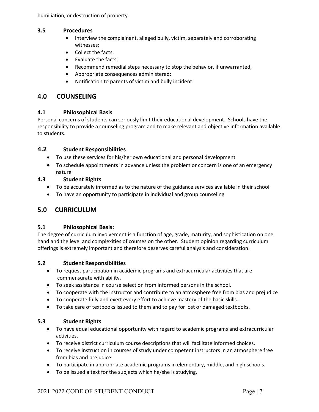humiliation, or destruction of property.

#### **3.5 Procedures**

- Interview the complainant, alleged bully, victim, separately and corroborating witnesses;
- Collect the facts;
- Evaluate the facts;
- Recommend remedial steps necessary to stop the behavior, if unwarranted;
- Appropriate consequences administered;
- Notification to parents of victim and bully incident.

### <span id="page-10-0"></span>**4.0 COUNSELING**

#### **4.1 Philosophical Basis**

Personal concerns of students can seriously limit their educational development. Schools have the responsibility to provide a counseling program and to make relevant and objective information available to students.

#### **4.2 Student Responsibilities**

- To use these services for his/her own educational and personal development
- To schedule appointments in advance unless the problem or concern is one of an emergency nature

#### **4.3 Student Rights**

- To be accurately informed as to the nature of the guidance services available in their school
- To have an opportunity to participate in individual and group counseling

### <span id="page-10-1"></span>**5.0 CURRICULUM**

#### **5.1 Philosophical Basis:**

The degree of curriculum involvement is a function of age, grade, maturity, and sophistication on one hand and the level and complexities of courses on the other. Student opinion regarding curriculum offerings is extremely important and therefore deserves careful analysis and consideration.

#### **5.2 Student Responsibilities**

- To request participation in academic programs and extracurricular activities that are commensurate with ability.
- To seek assistance in course selection from informed persons in the school.
- To cooperate with the instructor and contribute to an atmosphere free from bias and prejudice
- To cooperate fully and exert every effort to achieve mastery of the basic skills.
- To take care of textbooks issued to them and to pay for lost or damaged textbooks.

#### **5.3 Student Rights**

- To have equal educational opportunity with regard to academic programs and extracurricular activities.
- To receive district curriculum course descriptions that will facilitate informed choices.
- To receive instruction in courses of study under competent instructors in an atmosphere free from bias and prejudice.
- To participate in appropriate academic programs in elementary, middle, and high schools.
- To be issued a text for the subjects which he/she is studying.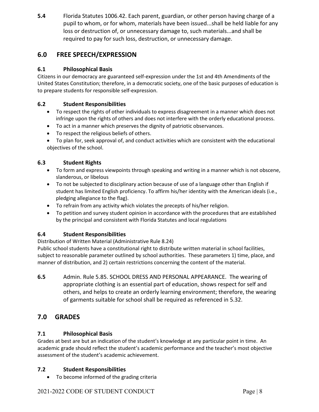**5.4** Florida Statutes 1006.42. Each parent, guardian, or other person having charge of a pupil to whom, or for whom, materials have been issued...shall be held liable for any loss or destruction of, or unnecessary damage to, such materials...and shall be required to pay for such loss, destruction, or unnecessary damage.

# <span id="page-11-0"></span>**6.0 FREE SPEECH/EXPRESSION**

### **6.1 Philosophical Basis**

Citizens in our democracy are guaranteed self-expression under the 1st and 4th Amendments of the United States Constitution; therefore, in a democratic society, one of the basic purposes of education is to prepare students for responsible self-expression.

### **6.2 Student Responsibilities**

- To respect the rights of other individuals to express disagreement in a manner which does not infringe upon the rights of others and does not interfere with the orderly educational process.
- To act in a manner which preserves the dignity of patriotic observances.
- To respect the religious beliefs of others.
- To plan for, seek approval of, and conduct activities which are consistent with the educational objectives of the school.

### **6.3 Student Rights**

- To form and express viewpoints through speaking and writing in a manner which is not obscene, slanderous, or libelous
- To not be subjected to disciplinary action because of use of a language other than English if student has limited English proficiency. To affirm his/her identity with the American ideals (i.e., pledging allegiance to the flag).
- To refrain from any activity which violates the precepts of his/her religion.
- To petition and survey student opinion in accordance with the procedures that are established by the principal and consistent with Florida Statutes and local regulations

### **6.4 Student Responsibilities**

Distribution of Written Material (Administrative Rule 8.24)

Public school students have a constitutional right to distribute written material in school facilities, subject to reasonable parameter outlined by school authorities. These parameters 1) time, place, and manner of distribution, and 2) certain restrictions concerning the content of the material.

**6.5** Admin. Rule 5.85. SCHOOL DRESS AND PERSONAL APPEARANCE. The wearing of appropriate clothing is an essential part of education, shows respect for self and others, and helps to create an orderly learning environment; therefore, the wearing of garments suitable for school shall be required as referenced in 5.32.

# <span id="page-11-1"></span>**7.0 GRADES**

### **7.1 Philosophical Basis**

Grades at best are but an indication of the student's knowledge at any particular point in time. An academic grade should reflect the student's academic performance and the teacher's most objective assessment of the student's academic achievement.

### **7.2 Student Responsibilities**

• To become informed of the grading criteria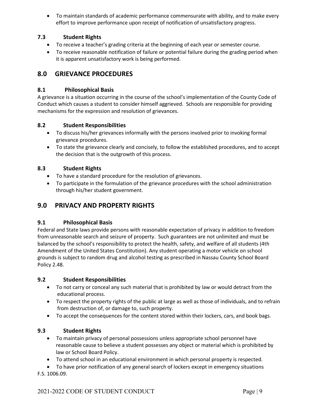• To maintain standards of academic performance commensurate with ability, and to make every effort to improve performance upon receipt of notification of unsatisfactory progress.

### **7.3 Student Rights**

- To receive a teacher's grading criteria at the beginning of each year or semester course.
- To receive reasonable notification of failure or potential failure during the grading period when it is apparent unsatisfactory work is being performed.

### <span id="page-12-0"></span>**8.0 GRIEVANCE PROCEDURES**

#### **8.1 Philosophical Basis**

A grievance is a situation occurring in the course of the school's implementation of the County Code of Conduct which causes a student to consider himself aggrieved. Schools are responsible for providing mechanisms for the expression and resolution of grievances.

#### **8.2 Student Responsibilities**

- To discuss his/her grievances informally with the persons involved prior to invoking formal grievance procedures.
- To state the grievance clearly and concisely, to follow the established procedures, and to accept the decision that is the outgrowth of this process.

#### **8.3 Student Rights**

- To have a standard procedure for the resolution of grievances.
- To participate in the formulation of the grievance procedures with the school administration through his/her student government.

### <span id="page-12-1"></span>**9.0 PRIVACY AND PROPERTY RIGHTS**

#### **9.1 Philosophical Basis**

Federal and State laws provide persons with reasonable expectation of privacy in addition to freedom from unreasonable search and seizure of property. Such guarantees are not unlimited and must be balanced by the school's responsibility to protect the health, safety, and welfare of all students (4th Amendment of the United States Constitution). Any student operating a motor vehicle on school grounds is subject to random drug and alcohol testing as prescribed in Nassau County School Board Policy 2.48.

#### **9.2 Student Responsibilities**

- To not carry or conceal any such material that is prohibited by law or would detract from the educational process.
- To respect the property rights of the public at large as well as those of individuals, and to refrain from destruction of, or damage to, such property.
- To accept the consequences for the content stored within their lockers, cars, and book bags.

#### **9.3 Student Rights**

- To maintain privacy of personal possessions unless appropriate school personnel have reasonable cause to believe a student possesses any object or material which is prohibited by law or School Board Policy.
- To attend school in an educational environment in which personal property is respected.

• To have prior notification of any general search of lockers except in emergency situations F.S. 1006.09.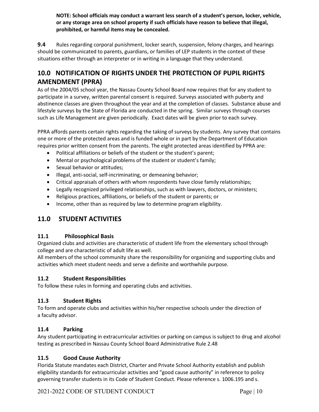**NOTE: School officials may conduct a warrant less search of a student's person, locker, vehicle, or any storage area on school property if such officials have reason to believe that illegal, prohibited, or harmful items may be concealed.**

**9.4** Rules regarding corporal punishment, locker search, suspension, felony charges, and hearings should be communicated to parents, guardians, or families of LEP students in the context of these situations either through an interpreter or in writing in a language that they understand.

# <span id="page-13-0"></span>**10.0 NOTIFICATION OF RIGHTS UNDER THE PROTECTION OF PUPIL RIGHTS AMENDMENT (PPRA)**

As of the 2004/05 school year, the Nassau County School Board now requires that for any student to participate in a survey, written parental consent is required. Surveys associated with puberty and abstinence classes are given throughout the year and at the completion of classes. Substance abuse and lifestyle surveys by the State of Florida are conducted in the spring. Similar surveys through courses such as Life Management are given periodically. Exact dates will be given prior to each survey.

PPRA affords parents certain rights regarding the taking of surveys by students. Any survey that contains one or more of the protected areas and is funded whole or in part by the Department of Education requires prior written consent from the parents. The eight protected areas identified by PPRA are:

- Political affiliations or beliefs of the student or the student's parent;
- Mental or psychological problems of the student or student's family;
- Sexual behavior or attitudes;
- Illegal, anti-social, self-incriminating, or demeaning behavior;
- Critical appraisals of others with whom respondents have close family relationships;
- Legally recognized privileged relationships, such as with lawyers, doctors, or ministers;
- Religious practices, affiliations, or beliefs of the student or parents; or
- Income, other than as required by law to determine program eligibility.

### <span id="page-13-1"></span>**11.0 STUDENT ACTIVITIES**

### **11.1 Philosophical Basis**

Organized clubs and activities are characteristic of student life from the elementary school through college and are characteristic of adult life as well.

All members of the school community share the responsibility for organizing and supporting clubs and activities which meet student needs and serve a definite and worthwhile purpose.

### **11.2 Student Responsibilities**

To follow these rules in forming and operating clubs and activities.

#### **11.3 Student Rights**

To form and operate clubs and activities within his/her respective schools under the direction of a faculty advisor.

#### **11.4 Parking**

Any student participating in extracurricular activities or parking on campus is subject to drug and alcohol testing as prescribed in Nassau County School Board Administrative Rule 2.48

### **11.5 Good Cause Authority**

Florida Statute mandates each District, Charter and Private School Authority establish and publish eligibility standards for extracurricular activities and "good cause authority" in reference to policy governing transfer students in its Code of Student Conduct. Please reference s. 1006.195 and s.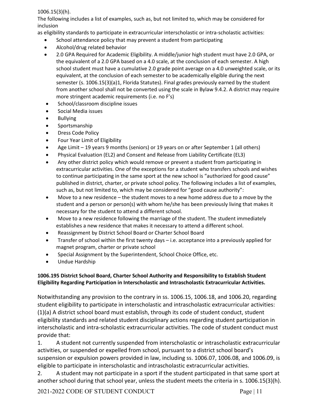#### 1006.15(3)(h).

The following includes a list of examples, such as, but not limited to, which may be considered for inclusion

- as eligibility standards to participate in extracurricular interscholastic or intra-scholastic activities:
	- School attendance policy that may prevent a student from participating
	- Alcohol/drug related behavior
	- 2.0 GPA Required for Academic Eligibility. A middle/junior high student must have 2.0 GPA, or the equivalent of a 2.0 GPA based on a 4.0 scale, at the conclusion of each semester. A high school student must have a cumulative 2.0 grade point average on a 4.0 unweighted scale, or its equivalent, at the conclusion of each semester to be academically eligible during the next semester (s. 1006.15(3)(a)1, Florida Statutes). Final grades previously earned by the student from another school shall not be converted using the scale in Bylaw 9.4.2. A district may require more stringent academic requirements (i.e. no F's)
	- School/classroom discipline issues
	- Social Media issues
	- Bullying
	- Sportsmanship
	- Dress Code Policy
	- Four Year Limit of Eligibility
	- Age Limit 19 years 9 months (seniors) or 19 years on or after September 1 (all others)
	- Physical Evaluation (EL2) and Consent and Release from Liability Certificate (EL3)
	- Any other district policy which would remove or prevent a student from participating in extracurricular activities. One of the exceptions for a student who transfers schools and wishes to continue participating in the same sport at the new school is "authorized for good cause" published in district, charter, or private school policy. The following includes a list of examples, such as, but not limited to, which may be considered for "good cause authority":
	- Move to a new residence the student moves to a new home address due to a move by the student and a person or person(s) with whom he/she has been previously living that makes it necessary for the student to attend a different school.
	- Move to a new residence following the marriage of the student. The student immediately establishes a new residence that makes it necessary to attend a different school.
	- Reassignment by District School Board or Charter School Board
	- Transfer of school within the first twenty days i.e. acceptance into a previously applied for magnet program, charter or private school
	- Special Assignment by the Superintendent, School Choice Office, etc.
	- Undue Hardship

### **1006.195 District School Board, Charter School Authority and Responsibility to Establish Student Eligibility Regarding Participation in Interscholastic and Intrascholastic Extracurricular Activities.**

Notwithstanding any provision to the contrary in ss. 1006.15, 1006.18, and 1006.20, regarding student eligibility to participate in interscholastic and intrascholastic extracurricular activities: (1)(a) A district school board must establish, through its code of student conduct, student eligibility standards and related student disciplinary actions regarding student participation in interscholastic and intra-scholastic extracurricular activities. The code of student conduct must provide that:

1. A student not currently suspended from interscholastic or intrascholastic extracurricular activities, or suspended or expelled from school, pursuant to a district school board's suspension or expulsion powers provided in law, including ss. 1006.07, 1006.08, and 1006.09, is eligible to participate in interscholastic and intrascholastic extracurricular activities.

2. A student may not participate in a sport if the student participated in that same sport at another school during that school year, unless the student meets the criteria in s. 1006.15(3)(h).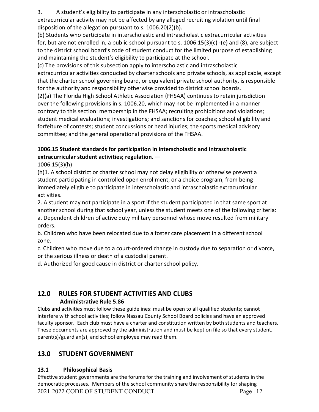3. A student's eligibility to participate in any interscholastic or intrascholastic extracurricular activity may not be affected by any alleged recruiting violation until final disposition of the allegation pursuant to s. 1006.20(2)(b).

(b) Students who participate in interscholastic and intrascholastic extracurricular activities for, but are not enrolled in, a public school pursuant to s. 1006.15(3)(c) -(e) and (8), are subject to the district school board's code of student conduct for the limited purpose of establishing and maintaining the student's eligibility to participate at the school.

(c) The provisions of this subsection apply to interscholastic and intrascholastic extracurricular activities conducted by charter schools and private schools, as applicable, except that the charter school governing board, or equivalent private school authority, is responsible for the authority and responsibility otherwise provided to district school boards.

(2)(a) The Florida High School Athletic Association (FHSAA) continues to retain jurisdiction over the following provisions in s. 1006.20, which may not be implemented in a manner contrary to this section: membership in the FHSAA; recruiting prohibitions and violations; student medical evaluations; investigations; and sanctions for coaches; school eligibility and forfeiture of contests; student concussions or head injuries; the sports medical advisory committee; and the general operational provisions of the FHSAA.

### **1006.15 Student standards for participation in interscholastic and intrascholastic extracurricular student activities; regulation.** —

1006.15(3)(h)

(h)1. A school district or charter school may not delay eligibility or otherwise prevent a student participating in controlled open enrollment, or a choice program, from being immediately eligible to participate in interscholastic and intrascholastic extracurricular activities.

2. A student may not participate in a sport if the student participated in that same sport at another school during that school year, unless the student meets one of the following criteria: a. Dependent children of active duty military personnel whose move resulted from military orders.

b. Children who have been relocated due to a foster care placement in a different school zone.

c. Children who move due to a court-ordered change in custody due to separation or divorce, or the serious illness or death of a custodial parent.

d. Authorized for good cause in district or charter school policy.

# <span id="page-15-0"></span>**12.0 RULES FOR STUDENT ACTIVITIES AND CLUBS Administrative Rule 5.86**

Clubs and activities must follow these guidelines: must be open to all qualified students; cannot interfere with school activities; follow Nassau County School Board policies and have an approved faculty sponsor. Each club must have a charter and constitution written by both students and teachers. These documents are approved by the administration and must be kept on file so that every student, parent(s)/guardian(s), and school employee may read them.

# <span id="page-15-1"></span>**13.0 STUDENT GOVERNMENT**

### **13.1 Philosophical Basis**

2021-2022 CODE OF STUDENT CONDUCT Page | 12 Effective student governments are the forums for the training and involvement of students in the democratic processes. Members of the school community share the responsibility for shaping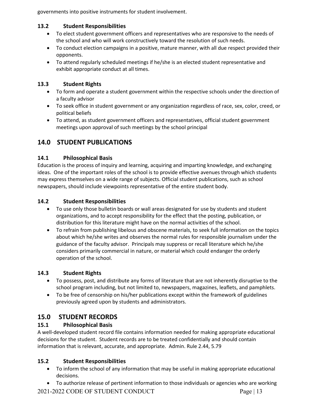governments into positive instruments for student involvement.

### **13.2 Student Responsibilities**

- To elect student government officers and representatives who are responsive to the needs of the school and who will work constructively toward the resolution of such needs.
- To conduct election campaigns in a positive, mature manner, with all due respect provided their opponents.
- To attend regularly scheduled meetings if he/she is an elected student representative and exhibit appropriate conduct at all times.

### **13.3 Student Rights**

- To form and operate a student government within the respective schools under the direction of a faculty advisor
- To seek office in student government or any organization regardless of race, sex, color, creed, or political beliefs
- To attend, as student government officers and representatives, official student government meetings upon approval of such meetings by the school principal

# <span id="page-16-0"></span>**14.0 STUDENT PUBLICATIONS**

### **14.1 Philosophical Basis**

Education is the process of inquiry and learning, acquiring and imparting knowledge, and exchanging ideas. One of the important roles of the school is to provide effective avenues through which students may express themselves on a wide range of subjects. Official student publications, such as school newspapers, should include viewpoints representative of the entire student body.

### **14.2 Student Responsibilities**

- To use only those bulletin boards or wall areas designated for use by students and student organizations, and to accept responsibility for the effect that the posting, publication, or distribution for this literature might have on the normal activities of the school.
- To refrain from publishing libelous and obscene materials, to seek full information on the topics about which he/she writes and observes the normal rules for responsible journalism under the guidance of the faculty advisor. Principals may suppress or recall literature which he/she considers primarily commercial in nature, or material which could endanger the orderly operation of the school.

### **14.3 Student Rights**

- To possess, post, and distribute any forms of literature that are not inherently disruptive to the school program including, but not limited to, newspapers, magazines, leaflets, and pamphlets.
- To be free of censorship on his/her publications except within the framework of guidelines previously agreed upon by students and administrators.

### <span id="page-16-1"></span>**15.0 STUDENT RECORDS**

### **15.1 Philosophical Basis**

A well-developed student record file contains information needed for making appropriate educational decisions for the student. Student records are to be treated confidentially and should contain information that is relevant, accurate, and appropriate. Admin. Rule 2.44, 5.79

### **15.2 Student Responsibilities**

- To inform the school of any information that may be useful in making appropriate educational decisions.
- 2021-2022 CODE OF STUDENT CONDUCT Page | 13 • To authorize release of pertinent information to those individuals or agencies who are working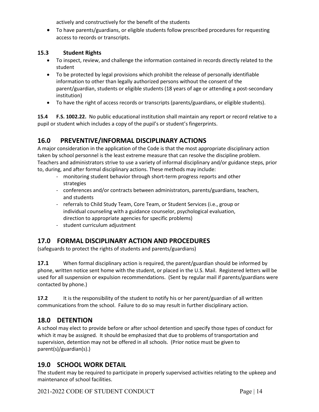actively and constructively for the benefit of the students

• To have parents/guardians, or eligible students follow prescribed procedures for requesting access to records or transcripts.

#### **15.3 Student Rights**

- To inspect, review, and challenge the information contained in records directly related to the student
- To be protected by legal provisions which prohibit the release of personally identifiable information to other than legally authorized persons without the consent of the parent/guardian, students or eligible students (18 years of age or attending a post-secondary institution)
- To have the right of access records or transcripts (parents/guardians, or eligible students).

**15.4 F.S. 1002.22.** No public educational institution shall maintain any report or record relative to a pupil or student which includes a copy of the pupil's or student's fingerprints.

### <span id="page-17-0"></span>**16.0 PREVENTIVE/INFORMAL DISCIPLINARY ACTIONS**

A major consideration in the application of the Code is that the most appropriate disciplinary action taken by school personnel is the least extreme measure that can resolve the discipline problem. Teachers and administrators strive to use a variety of informal disciplinary and/or guidance steps, prior to, during, and after formal disciplinary actions. These methods may include:

- monitoring student behavior through short-term progress reports and other strategies
- conferences and/or contracts between administrators, parents/guardians, teachers, and students
- referrals to Child Study Team, Core Team, or Student Services (i.e., group or individual counseling with a guidance counselor, psychological evaluation, direction to appropriate agencies for specific problems)
- student curriculum adjustment

### <span id="page-17-1"></span>**17.0 FORMAL DISCIPLINARY ACTION AND PROCEDURES**

(safeguards to protect the rights of students and parents/guardians)

**17.1** When formal disciplinary action is required, the parent/guardian should be informed by phone, written notice sent home with the student, or placed in the U.S. Mail. Registered letters will be used for all suspension or expulsion recommendations. (Sent by regular mail if parents/guardians were contacted by phone.)

**17.2** It is the responsibility of the student to notify his or her parent/guardian of all written communications from the school. Failure to do so may result in further disciplinary action.

### <span id="page-17-2"></span>**18.0 DETENTION**

A school may elect to provide before or after school detention and specify those types of conduct for which it may be assigned. It should be emphasized that due to problems of transportation and supervision, detention may not be offered in all schools. (Prior notice must be given to parent(s)/guardian(s).)

### <span id="page-17-3"></span>**19.0 SCHOOL WORK DETAIL**

The student may be required to participate in properly supervised activities relating to the upkeep and maintenance of school facilities.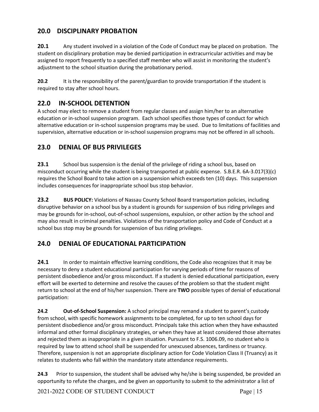# <span id="page-18-0"></span>**20.0 DISCIPLINARY PROBATION**

**20.1** Any student involved in a violation of the Code of Conduct may be placed on probation. The student on disciplinary probation may be denied participation in extracurricular activities and may be assigned to report frequently to a specified staff member who will assist in monitoring the student's adjustment to the school situation during the probationary period.

**20.2** It is the responsibility of the parent/guardian to provide transportation if the student is required to stay after school hours.

# <span id="page-18-1"></span>**22.0 IN-SCHOOL DETENTION**

A school may elect to remove a student from regular classes and assign him/her to an alternative education or in-school suspension program. Each school specifies those types of conduct for which alternative education or in-school suspension programs may be used. Due to limitations of facilities and supervision, alternative education or in-school suspension programs may not be offered in all schools.

# <span id="page-18-2"></span>**23.0 DENIAL OF BUS PRIVILEGES**

**23.1** School bus suspension is the denial of the privilege of riding a school bus, based on misconduct occurring while the student is being transported at public expense. S.B.E.R. 6A-3.017(3)(c) requires the School Board to take action on a suspension which exceeds ten (10) days. This suspension includes consequences for inappropriate school bus stop behavior.

**23.2 BUS POLICY:** Violations of Nassau County School Board transportation policies, including disruptive behavior on a school bus by a student is grounds for suspension of bus riding privileges and may be grounds for in-school, out-of-school suspensions, expulsion, or other action by the school and may also result in criminal penalties. Violations of the transportation policy and Code of Conduct at a school bus stop may be grounds for suspension of bus riding privileges.

# <span id="page-18-3"></span>**24.0 DENIAL OF EDUCATIONAL PARTICIPATION**

**24.1** In order to maintain effective learning conditions, the Code also recognizes that it may be necessary to deny a student educational participation for varying periods of time for reasons of persistent disobedience and/or gross misconduct. If a student is denied educational participation, every effort will be exerted to determine and resolve the causes of the problem so that the student might return to school at the end of his/her suspension. There are **TWO** possible types of denial of educational participation:

**24.2 Out-of-School Suspension:** A school principal may remand a student to parent's custody from school, with specific homework assignments to be completed, for up to ten school days for persistent disobedience and/or gross misconduct. Principals take this action when they have exhausted informal and other formal disciplinary strategies, or when they have at least considered those alternates and rejected them as inappropriate in a given situation. Pursuant to F.S. 1006.09, no student who is required by law to attend school shall be suspended for unexcused absences, tardiness or truancy. Therefore, suspension is not an appropriate disciplinary action for Code Violation Class II (Truancy) as it relates to students who fall within the mandatory state attendance requirements.

**24.3** Prior to suspension, the student shall be advised why he/she is being suspended, be provided an opportunity to refute the charges, and be given an opportunity to submit to the administrator a list of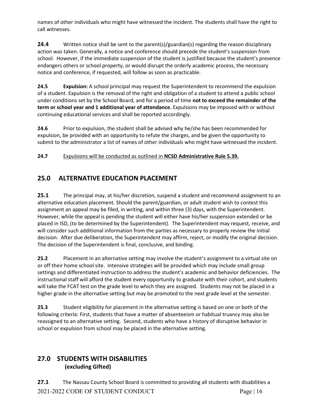names of other individuals who might have witnessed the incident. The students shall have the right to call witnesses.

**24.4** Written notice shall be sent to the parent(s)/guardian(s) regarding the reason disciplinary action was taken. Generally, a notice and conference should precede the student's suspension from school. However, if the immediate suspension of the student is justified because the student's presence endangers others or school property, or would disrupt the orderly academic process, the necessary notice and conference, if requested, will follow as soon as practicable.

**24.5 Expulsion:** A school principal may request the Superintendent to recommend the expulsion of a student. Expulsion is the removal of the right and obligation of a student to attend a public school under conditions set by the School Board, and for a period of time **not to exceed the remainder of the term or school year and 1 additional year of attendance.** Expulsions may be imposed with or without continuing educational services and shall be reported accordingly.

**24.6** Prior to expulsion, the student shall be advised why he/she has been recommended for expulsion, be provided with an opportunity to refute the charges, and be given the opportunity to submit to the administrator a list of names of other individuals who might have witnessed the incident.

### **24.7** Expulsions will be conducted as outlined in **NCSD Administrative Rule 5.39.**

# <span id="page-19-0"></span>**25.0 ALTERNATIVE EDUCATION PLACEMENT**

**25.1** The principal may, at his/her discretion, suspend a student and recommend assignment to an alternative education placement. Should the parent/guardian, or adult student wish to contest this assignment an appeal may be filed, in writing, and within three (3) days, with the Superintendent. However, while the appeal is pending the student will either have his/her suspension extended or be placed in ISD, (to be determined by the Superintendent). The Superintendent may request, receive, and will consider such additional information from the parties as necessary to properly review the initial decision. After due deliberation, the Superintendent may affirm, reject, or modify the original decision. The decision of the Superintendent is final, conclusive, and binding.

**25.2** Placement in an alternative setting may involve the student's assignment to a virtual site on or off their home school site. Intensive strategies will be provided which may include small group settings and differentiated instruction to address the student's academic and behavior deficiencies. The instructional staff will afford the student every opportunity to graduate with their cohort, and students will take the FCAT test on the grade level to which they are assigned. Students may not be placed in a higher grade in the alternative setting but may be promoted to the next grade level at the semester.

**25.3** Student eligibility for placement in the alternative setting is based on one or both of the following criteria: First, students that have a matter of absenteeism or habitual truancy may also be reassigned to an alternative setting. Second, students who have a history of disruptive behavior in school or expulsion from school may be placed in the alternative setting.

### <span id="page-19-1"></span>**27.0 STUDENTS WITH DISABILITIES (excluding Gifted)**

2021-2022 CODE OF STUDENT CONDUCT Page | 16 **27.1** The Nassau County School Board is committed to providing all students with disabilities a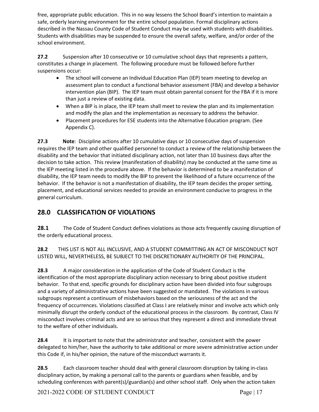free, appropriate public education. This in no way lessens the School Board's intention to maintain a safe, orderly learning environment for the entire school population. Formal disciplinary actions described in the Nassau County Code of Student Conduct may be used with students with disabilities. Students with disabilities may be suspended to ensure the overall safety, welfare, and/or order of the school environment.

**27.2** Suspension after 10 consecutive or 10 cumulative school days that represents a pattern, constitutes a change in placement. The following procedure must be followed before further suspensions occur:

- The school will convene an Individual Education Plan (IEP) team meeting to develop an assessment plan to conduct a functional behavior assessment (FBA) and develop a behavior intervention plan (BIP). The IEP team must obtain parental consent for the FBA if it is more than just a review of existing data.
- When a BIP is in place, the IEP team shall meet to review the plan and its implementation and modify the plan and the implementation as necessary to address the behavior.
- Placement procedures for ESE students into the Alternative Education program. (See Appendix C).

**27.3 Note**: Discipline actions after 10 cumulative days or 10 consecutive days of suspension requires the IEP team and other qualified personnel to conduct a review of the relationship between the disability and the behavior that initiated disciplinary action, not later than 10 business days after the decision to take action. This review (manifestation of disability) may be conducted at the same time as the IEP meeting listed in the procedure above. If the behavior is determined to be a manifestation of disability, the IEP team needs to modify the BIP to prevent the likelihood of a future occurrence of the behavior. If the behavior is not a manifestation of disability, the IEP team decides the proper setting, placement, and educational services needed to provide an environment conducive to progress in the general curriculum.

# <span id="page-20-0"></span>**28.0 CLASSIFICATION OF VIOLATIONS**

**28.1** The Code of Student Conduct defines violations as those acts frequently causing disruption of the orderly educational process.

**28.2** THIS LIST IS NOT ALL INCLUSIVE, AND A STUDENT COMMITTING AN ACT OF MISCONDUCT NOT LISTED WILL, NEVERTHELESS, BE SUBJECT TO THE DISCRETIONARY AUTHORITY OF THE PRINCIPAL.

**28.3** A major consideration in the application of the Code of Student Conduct is the identification of the most appropriate disciplinary action necessary to bring about positive student behavior. To that end, specific grounds for disciplinary action have been divided into four subgroups and a variety of administrative actions have been suggested or mandated. The violations in various subgroups represent a continuum of misbehaviors based on the seriousness of the act and the frequency of occurrences. Violations classified at Class I are relatively minor and involve acts which only minimally disrupt the orderly conduct of the educational process in the classroom. By contrast, Class IV misconduct involves criminal acts and are so serious that they represent a direct and immediate threat to the welfare of other individuals.

**28.4** It is important to note that the administrator and teacher, consistent with the power delegated to him/her, have the authority to take additional or more severe administrative action under this Code if, in his/her opinion, the nature of the misconduct warrants it.

**28.5** Each classroom teacher should deal with general classroom disruption by taking in-class disciplinary action, by making a personal call to the parents or guardians when feasible, and by scheduling conferences with parent(s)/guardian(s) and other school staff. Only when the action taken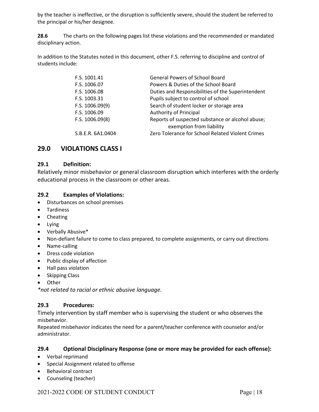by the teacher is ineffective, or the disruption is sufficiently severe, should the student be referred to the principal or his/her designee.

**28.6** The charts on the following pages list these violations and the recommended or mandated disciplinary action.

In addition to the Statutes noted in this document, other F.S. referring to discipline and control of students include:

| F.S. 1001.41      | <b>General Powers of School Board</b>                                        |
|-------------------|------------------------------------------------------------------------------|
| F.S. 1006.07      | Powers & Duties of the School Board                                          |
| F.S. 1006.08      | Duties and Responsibilities of the Superintendent                            |
| F.S. 1003.31      | Pupils subject to control of school                                          |
| F.S. 1006.09(9)   | Search of student locker or storage area                                     |
| F.S. 1006.09      | <b>Authority of Principal</b>                                                |
| F.S. 1006.09(8)   | Reports of suspected substance or alcohol abuse;<br>exemption from liability |
| S.B.E.R. 6A1.0404 | Zero Tolerance for School Related Violent Crimes                             |

### <span id="page-21-0"></span>**29.0 VIOLATIONS CLASS I**

#### **29.1 Definition:**

Relatively minor misbehavior or general classroom disruption which interferes with the orderly educational process in the classroom or other areas.

### **29.2 Examples of Violations:**

- Disturbances on school premises
- Tardiness
- Cheating
- Lying
- Verbally Abusive\*
- Non-defiant failure to come to class prepared, to complete assignments, or carry out directions
- Name-calling
- Dress code violation
- Public display of affection
- Hall pass violation
- Skipping Class
- Other

*\*not related to racial or ethnic abusive language.*

### **29.3 Procedures:**

Timely intervention by staff member who is supervising the student or who observes the misbehavior.

Repeated misbehavior indicates the need for a parent/teacher conference with counselor and/or administrator.

#### **29.4 Optional Disciplinary Response (one or more may be provided for each offense):**

- Verbal reprimand
- Special Assignment related to offense
- Behavioral contract
- Counseling (teacher)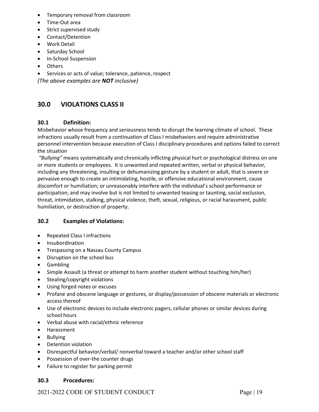- Temporary removal from classroom
- Time-Out area
- Strict supervised study
- Contact/Detention
- Work Detail
- Saturday School
- In-School Suspension
- Others
- Services or acts of value; tolerance, patience, respect

*(The above examples are NOT inclusive)*

### <span id="page-22-0"></span>**30.0 VIOLATIONS CLASS II**

#### **30.1 Definition:**

Misbehavior whose frequency and seriousness tends to disrupt the learning climate of school. These infractions usually result from a continuation of Class I misbehaviors and require administrative personnel intervention because execution of Class I disciplinary procedures and options failed to correct the situation

*"Bullying"* means systematically and chronically inflicting physical hurt or psychological distress on one or more students or employees. It is unwanted and repeated written, verbal or physical behavior, including any threatening, insulting or dehumanizing gesture by a student or adult, that is severe or pervasive enough to create an intimidating, hostile, or offensive educational environment, cause discomfort or humiliation; or unreasonably interfere with the individual's school performance or participation; and may involve but is not limited to unwanted teasing or taunting, social exclusion, threat, intimidation, stalking, physical violence, theft, sexual, religious, or racial harassment, public humiliation, or destruction of property.

#### **30.2 Examples of Violations:**

- Repeated Class I infractions
- Insubordination
- Trespassing on a Nassau County Campus
- Disruption on the school bus
- Gambling
- Simple Assault (a threat or attempt to harm another student without touching him/her)
- Stealing/copyright violations
- Using forged notes or excuses
- Profane and obscene language or gestures, or display/possession of obscene materials or electronic access thereof
- Use of electronic devices to include electronic pagers, cellular phones or similar devices during school hours
- Verbal abuse with racial/ethnic reference
- Harassment
- Bullying
- Detention violation
- Disrespectful behavior/verbal/ nonverbal toward a teacher and/or other school staff
- Possession of over-the counter drugs
- Failure to register for parking permit

#### **30.3 Procedures:**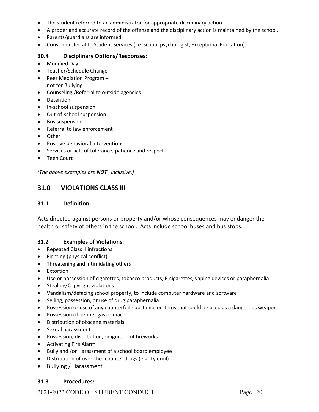- The student referred to an administrator for appropriate disciplinary action.
- A proper and accurate record of the offense and the disciplinary action is maintained by the school.
- Parents/guardians are informed.
- Consider referral to Student Services (i.e. school psychologist, Exceptional Education).

#### **30.4 Disciplinary Options/Responses:**

- Modified Day
- Teacher/Schedule Change
- Peer Mediation Program not for Bullying
- Counseling /Referral to outside agencies
- Detention
- In-school suspension
- Out-of-school suspension
- Bus suspension
- Referral to law enforcement
- Other
- Positive behavioral interventions
- Services or acts of tolerance, patience and respect
- Teen Court

*(The above examples are NOT inclusive.)*

### <span id="page-23-0"></span>**31.0 VIOLATIONS CLASS III**

#### **31.1 Definition:**

Acts directed against persons or property and/or whose consequences may endanger the health or safety of others in the school. Acts include school buses and bus stops.

#### **31.2 Examples of Violations:**

- Repeated Class II infractions
- Fighting (physical conflict)
- Threatening and intimidating others
- Extortion
- Use or possession of cigarettes, tobacco products, E-cigarettes, vaping devices or paraphernalia
- Stealing/Copyright violations
- Vandalism/defacing school property, to include computer hardware and software
- Selling, possession, or use of drug paraphernalia
- Possession or use of any counterfeit substance or items that could be used as a dangerous weapon
- Possession of pepper gas or mace
- Distribution of obscene materials
- Sexual harassment
- Possession, distribution, or ignition of fireworks
- Activating Fire Alarm
- Bully and /or Harassment of a school board employee
- Distribution of over-the- counter drugs (e.g. Tylenol)
- Bullying / Harassment

#### **31.3 Procedures:**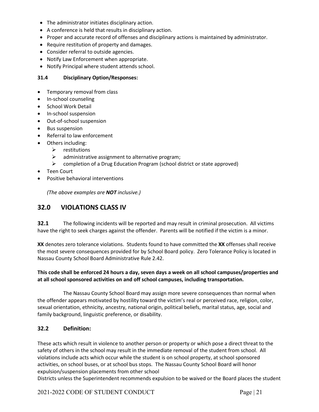- The administrator initiates disciplinary action.
- A conference is held that results in disciplinary action.
- Proper and accurate record of offenses and disciplinary actions is maintained by administrator.
- Require restitution of property and damages.
- Consider referral to outside agencies.
- Notify Law Enforcement when appropriate.
- Notify Principal where student attends school.

#### **31.4 Disciplinary Option/Responses:**

- Temporary removal from class
- In-school counseling
- School Work Detail
- In-school suspension
- Out-of-school suspension
- Bus suspension
- Referral to law enforcement
- Others including:
	- $\triangleright$  restitutions
	- $\triangleright$  administrative assignment to alternative program;
	- $\triangleright$  completion of a Drug Education Program (school district or state approved)
- Teen Court
- Positive behavioral interventions

*(The above examples are NOT inclusive.)*

### <span id="page-24-0"></span>**32.0 VIOLATIONS CLASS IV**

**32.1** The following incidents will be reported and may result in criminal prosecution. All victims have the right to seek charges against the offender. Parents will be notified if the victim is a minor.

**XX** denotes zero tolerance violations. Students found to have committed the **XX** offenses shall receive the most severe consequences provided for by School Board policy. Zero Tolerance Policy is located in Nassau County School Board Administrative Rule 2.42.

#### **This code shall be enforced 24 hours a day, seven days a week on all school campuses/properties and at all school sponsored activities on and off school campuses, including transportation.**

The Nassau County School Board may assign more severe consequences than normal when the offender appears motivated by hostility toward the victim's real or perceived race, religion, color, sexual orientation, ethnicity, ancestry, national origin, political beliefs, marital status, age, social and family background, linguistic preference, or disability.

#### **32.2 Definition:**

These acts which result in violence to another person or property or which pose a direct threat to the safety of others in the school may result in the immediate removal of the student from school. All violations include acts which occur while the student is on school property, at school sponsored activities, on school buses, or at school bus stops. The Nassau County School Board will honor expulsion/suspension placements from other school

Districts unless the Superintendent recommends expulsion to be waived or the Board places the student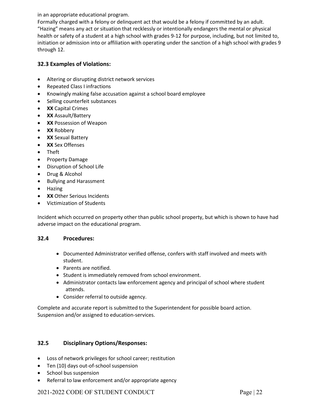in an appropriate educational program.

Formally charged with a felony or delinquent act that would be a felony if committed by an adult. "Hazing" means any act or situation that recklessly or intentionally endangers the mental or physical health or safety of a student at a high school with grades 9-12 for purpose, including, but not limited to, initiation or admission into or affiliation with operating under the sanction of a high school with grades 9 through 12.

#### **32.3 Examples of Violations:**

- Altering or disrupting district network services
- Repeated Class I infractions
- Knowingly making false accusation against a school board employee
- Selling counterfeit substances
- **XX** Capital Crimes
- **XX** Assault/Battery
- **XX** Possession of Weapon
- **XX** Robbery
- **XX** Sexual Battery
- **XX** Sex Offenses
- Theft
- Property Damage
- Disruption of School Life
- Drug & Alcohol
- Bullying and Harassment
- Hazing
- **XX** Other Serious Incidents
- Victimization of Students

Incident which occurred on property other than public school property, but which is shown to have had adverse impact on the educational program.

#### **32.4 Procedures:**

- Documented Administrator verified offense, confers with staff involved and meets with student.
- Parents are notified.
- Student is immediately removed from school environment.
- Administrator contacts law enforcement agency and principal of school where student attends.
- Consider referral to outside agency.

Complete and accurate report is submitted to the Superintendent for possible board action. Suspension and/or assigned to education-services.

#### **32.5 Disciplinary Options/Responses:**

- Loss of network privileges for school career; restitution
- Ten (10) days out-of-school suspension
- School bus suspension
- Referral to law enforcement and/or appropriate agency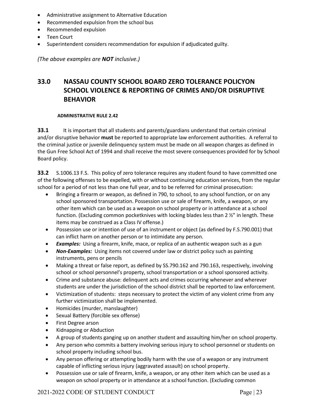- Administrative assignment to Alternative Education
- Recommended expulsion from the school bus
- Recommended expulsion
- Teen Court
- Superintendent considers recommendation for expulsion if adjudicated guilty.

*(The above examples are NOT inclusive.)*

# <span id="page-26-0"></span>**33.0 NASSAU COUNTY SCHOOL BOARD ZERO TOLERANCE POLICYON SCHOOL VIOLENCE & REPORTING OF CRIMES AND/OR DISRUPTIVE BEHAVIOR**

#### **ADMINISTRATIVE RULE 2.42**

**33.1** It is important that all students and parents/guardians understand that certain criminal and/or disruptive behavior **must** be reported to appropriate law enforcement authorities. A referral to the criminal justice or juvenile delinquency system must be made on all weapon charges as defined in the Gun Free School Act of 1994 and shall receive the most severe consequences provided for by School Board policy.

**33.2** S.1006.13 F.S. This policy of zero tolerance requires any student found to have committed one of the following offenses to be expelled, with or without continuing education services, from the regular school for a period of not less than one full year, and to be referred for criminal prosecution:

- Bringing a firearm or weapon, as defined in 790, to school, to any school function, or on any school sponsored transportation. Possession use or sale of firearm, knife, a weapon, or any other item which can be used as a weapon on school property or in attendance at a school function. (Excluding common pocketknives with locking blades less than  $2 \frac{1}{2}$ " in length. These items may be construed as a Class IV offense.)
- Possession use or intention of use of an instrument or object (as defined by F.S.790.001) that can inflict harm on another person or to intimidate any person.
- *Examples:* Using a firearm, knife, mace, or replica of an authentic weapon such as a gun
- **Non-Examples:** Using items not covered under law or district policy such as painting instruments, pens or pencils
- Making a threat or false report, as defined by SS.790.162 and 790.163, respectively, involving school or school personnel's property, school transportation or a school sponsored activity.
- Crime and substance abuse: delinquent acts and crimes occurring whenever and wherever students are under the jurisdiction of the school district shall be reported to law enforcement.
- Victimization of students: steps necessary to protect the victim of any violent crime from any further victimization shall be implemented.
- Homicides (murder, manslaughter)
- Sexual Battery (forcible sex offense)
- First Degree arson
- Kidnapping or Abduction
- A group of students ganging up on another student and assaulting him/her on school property.
- Any person who commits a battery involving serious injury to school personnel or students on school property including school bus.
- Any person offering or attempting bodily harm with the use of a weapon or any instrument capable of inflicting serious injury (aggravated assault) on school property.
- Possession use or sale of firearm, knife, a weapon, or any other item which can be used as a weapon on school property or in attendance at a school function. (Excluding common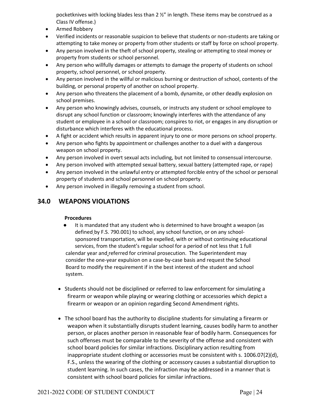pocketknives with locking blades less than 2 ½" in length. These items may be construed as a Class IV offense.)

- Armed Robbery
- Verified incidents or reasonable suspicion to believe that students or non-students are taking or attempting to take money or property from other students or staff by force on school property.
- Any person involved in the theft of school property, stealing or attempting to steal money or property from students or school personnel.
- Any person who willfully damages or attempts to damage the property of students on school property, school personnel, or school property.
- Any person involved in the willful or malicious burning or destruction of school, contents of the building, or personal property of another on school property.
- Any person who threatens the placement of a bomb, dynamite, or other deadly explosion on school premises.
- Any person who knowingly advises, counsels, or instructs any student or school employee to disrupt any school function or classroom; knowingly interferes with the attendance of any student or employee in a school or classroom; conspires to riot, or engages in any disruption or disturbance which interferes with the educational process.
- A fight or accident which results in apparent injury to one or more persons on school property.
- Any person who fights by appointment or challenges another to a duel with a dangerous weapon on school property.
- Any person involved in overt sexual acts including, but not limited to consensual intercourse.
- Any person involved with attempted sexual battery, sexual battery (attempted rape, or rape)
- Any person involved in the unlawful entry or attempted forcible entry of the school or personal property of students and school personnel on school property.
- Any person involved in illegally removing a student from school.

### <span id="page-27-0"></span>**34.0 WEAPONS VIOLATIONS**

#### **Procedures**

- It is mandated that any student who is determined to have brought a weapon (as defined by F.S. 790.001) to school, any school function, or on any school sponsored transportation, will be expelled, with or without continuing educational services, from the student's regular school for a period of not less that 1 full calendar year and referred for criminal prosecution. The Superintendent may consider the one-year expulsion on a case-by-case basis and request the School Board to modify the requirement if in the best interest of the student and school system.
- Students should not be disciplined or referred to law enforcement for simulating a firearm or weapon while playing or wearing clothing or accessories which depict a firearm or weapon or an opinion regarding Second Amendment rights.
- The school board has the authority to discipline students for simulating a firearm or weapon when it substantially disrupts student learning, causes bodily harm to another person, or places another person in reasonable fear of bodily harm. Consequences for such offenses must be comparable to the severity of the offense and consistent with school board policies for similar infractions. Disciplinary action resulting from inappropriate student clothing or accessories must be consistent with s. 1006.07(2)(d), F.S., unless the wearing of the clothing or accessory causes a substantial disruption to student learning. In such cases, the infraction may be addressed in a manner that is consistent with school board policies for similar infractions.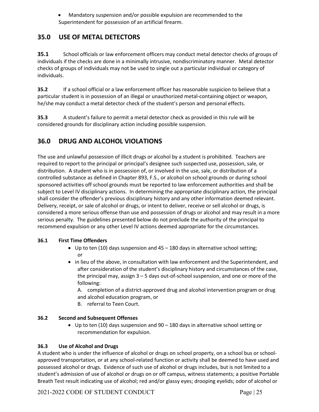• Mandatory suspension and/or possible expulsion are recommended to the Superintendent for possession of an artificial firearm.

### <span id="page-28-0"></span>**35.0 USE OF METAL DETECTORS**

**35.1** School officials or law enforcement officers may conduct metal detector checks of groups of individuals if the checks are done in a minimally intrusive, nondiscriminatory manner. Metal detector checks of groups of individuals may not be used to single out a particular individual or category of individuals.

**35.2** If a school official or a law enforcement officer has reasonable suspicion to believe that a particular student is in possession of an illegal or unauthorized metal-containing object or weapon, he/she may conduct a metal detector check of the student's person and personal effects.

**35.3** A student's failure to permit a metal detector check as provided in this rule will be considered grounds for disciplinary action including possible suspension.

### <span id="page-28-1"></span>**36.0 DRUG AND ALCOHOL VIOLATIONS**

The use and unlawful possession of illicit drugs or alcohol by a student is prohibited. Teachers are required to report to the principal or principal's designee such suspected use, possession, sale, or distribution. A student who is in possession of, or involved in the use, sale, or distribution of a controlled substance as defined in Chapter 893, F.S., or alcohol on school grounds or during school sponsored activities off school grounds must be reported to law enforcement authorities and shall be subject to Level IV disciplinary actions. In determining the appropriate disciplinary action, the principal shall consider the offender's previous disciplinary history and any other information deemed relevant. Delivery, receipt, or sale of alcohol or drugs, or intent to deliver, receive or sell alcohol or drugs, is considered a more serious offense than use and possession of drugs or alcohol and may result in a more serious penalty. The guidelines presented below do not preclude the authority of the principal to recommend expulsion or any other Level IV actions deemed appropriate for the circumstances.

#### **36.1 First Time Offenders**

- Up to ten (10) days suspension and  $45 180$  days in alternative school setting; or
- in lieu of the above, in consultation with law enforcement and the Superintendent, and after consideration of the student's disciplinary history and circumstances of the case, the principal may, assign 3 – 5 days out-of-school suspension, and one or more of the following:

A. completion of a district-approved drug and alcohol intervention program or drug and alcohol education program, or

B. referral to Teen Court.

#### **36.2 Second and Subsequent Offenses**

• Up to ten (10) days suspension and 90 – 180 days in alternative school setting or recommendation for expulsion.

#### **36.3 Use of Alcohol and Drugs**

A student who is under the influence of alcohol or drugs on school property, on a school bus or schoolapproved transportation, or at any school-related function or activity shall be deemed to have used and possessed alcohol or drugs. Evidence of such use of alcohol or drugs includes, but is not limited to a student's admission of use of alcohol or drugs on or off campus, witness statements; a positive Portable Breath Test result indicating use of alcohol; red and/or glassy eyes; drooping eyelids; odor of alcohol or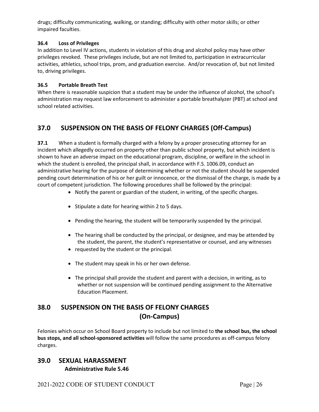drugs; difficulty communicating, walking, or standing; difficulty with other motor skills; or other impaired faculties.

#### **36.4 Loss of Privileges**

In addition to Level IV actions, students in violation of this drug and alcohol policy may have other privileges revoked. These privileges include, but are not limited to, participation in extracurricular activities, athletics, school trips, prom, and graduation exercise. And/or revocation of, but not limited to, driving privileges.

#### **36.5 Portable Breath Test**

When there is reasonable suspicion that a student may be under the influence of alcohol, the school's administration may request law enforcement to administer a portable breathalyzer (PBT) at school and school related activities.

### <span id="page-29-0"></span>**37.0 SUSPENSION ON THE BASIS OF FELONY CHARGES (Off-Campus)**

**37.1** When a student is formally charged with a felony by a proper prosecuting attorney for an incident which allegedly occurred on property other than public school property, but which incident is shown to have an adverse impact on the educational program, discipline, or welfare in the school in which the student is enrolled, the principal shall, in accordance with F.S. 1006.09, conduct an administrative hearing for the purpose of determining whether or not the student should be suspended pending court determination of his or her guilt or innocence, or the dismissal of the charge, is made by a court of competent jurisdiction. The following procedures shall be followed by the principal:

- Notify the parent or guardian of the student, in writing, of the specific charges.
- Stipulate a date for hearing within 2 to 5 days.
- Pending the hearing, the student will be temporarily suspended by the principal.
- The hearing shall be conducted by the principal, or designee, and may be attended by the student, the parent, the student's representative or counsel, and any witnesses
- requested by the student or the principal.
- The student may speak in his or her own defense.
- The principal shall provide the student and parent with a decision, in writing, as to whether or not suspension will be continued pending assignment to the Alternative Education Placement.

# <span id="page-29-1"></span>**38.0 SUSPENSION ON THE BASIS OF FELONY CHARGES (On-Campus)**

Felonies which occur on School Board property to include but not limited to **the school bus, the school bus stops, and all school-sponsored activities** will follow the same procedures as off-campus felony charges.

#### <span id="page-29-2"></span>**39.0 SEXUAL HARASSMENT Administrative Rule 5.46**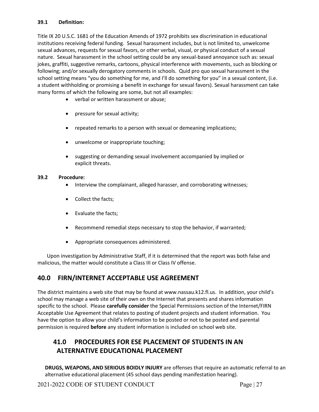#### **39.1 Definition:**

Title IX 20 U.S.C. 1681 of the Education Amends of 1972 prohibits sex discrimination in educational institutions receiving federal funding. Sexual harassment includes, but is not limited to, unwelcome sexual advances, requests for sexual favors, or other verbal, visual, or physical conduct of a sexual nature. Sexual harassment in the school setting could be any sexual-based annoyance such as: sexual jokes, graffiti, suggestive remarks, cartoons, physical interference with movements, such as blocking or following; and/or sexually derogatory comments in schools. Quid pro quo sexual harassment in the school setting means "you do something for me, and I'll do something for you" in a sexual content, (i.e. a student withholding or promising a benefit in exchange for sexual favors). Sexual harassment can take many forms of which the following are some, but not all examples:

- verbal or written harassment or abuse;
- pressure for sexual activity;
- repeated remarks to a person with sexual or demeaning implications;
- unwelcome or inappropriate touching;
- suggesting or demanding sexual involvement accompanied by implied or explicit threats.

#### **39.2 Procedure:**

- Interview the complainant, alleged harasser, and corroborating witnesses;
- Collect the facts;
- Evaluate the facts;
- Recommend remedial steps necessary to stop the behavior, if warranted;
- Appropriate consequences administered.

Upon investigation by Administrative Staff, if it is determined that the report was both false and malicious, the matter would constitute a Class III or Class IV offense.

### <span id="page-30-0"></span>**40.0 FIRN/INTERNET ACCEPTABLE USE AGREEMENT**

The district maintains a web site that may be found at www.nassau.k12.fl.us. In addition, your child's school may manage a web site of their own on the Internet that presents and shares information specific to the school. Please **carefully consider** the Special Permissions section of the Internet/FIRN Acceptable Use Agreement that relates to posting of student projects and student information. You have the option to allow your child's information to be posted or not to be posted and parental permission is required **before** any student information is included on school web site.

# <span id="page-30-1"></span>**41.0 PROCEDURES FOR ESE PLACEMENT OF STUDENTS IN AN ALTERNATIVE EDUCATIONAL PLACEMENT**

**DRUGS, WEAPONS, AND SERIOUS BOIDLY INJURY** are offenses that require an automatic referral to an alternative educational placement (45 school days pending manifestation hearing).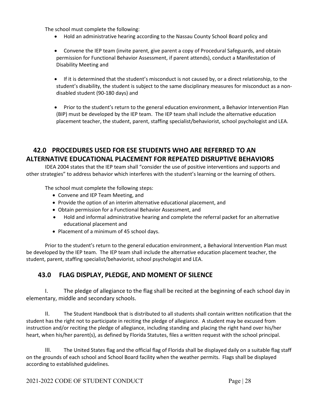The school must complete the following:

- Hold an administrative hearing according to the Nassau County School Board policy and
- Convene the IEP team (invite parent, give parent a copy of Procedural Safeguards, and obtain permission for Functional Behavior Assessment, if parent attends), conduct a Manifestation of Disability Meeting and
- If it is determined that the student's misconduct is not caused by, or a direct relationship, to the student's disability, the student is subject to the same disciplinary measures for misconduct as a nondisabled student (90-180 days) and
- Prior to the student's return to the general education environment, a Behavior Intervention Plan (BIP) must be developed by the IEP team. The IEP team shall include the alternative education placement teacher, the student, parent, staffing specialist/behaviorist, school psychologist and LEA.

# <span id="page-31-0"></span>**42.0 PROCEDURES USED FOR ESE STUDENTS WHO ARE REFERRED TO AN ALTERNATIVE EDUCATIONAL PLACEMENT FOR REPEATED DISRUPTIVE BEHAVIORS**

IDEA 2004 states that the IEP team shall "consider the use of positive interventions and supports and other strategies" to address behavior which interferes with the student's learning or the learning of others.

The school must complete the following steps:

- Convene and IEP Team Meeting, and
- Provide the option of an interim alternative educational placement, and
- Obtain permission for a Functional Behavior Assessment, and
- Hold and informal administrative hearing and complete the referral packet for an alternative educational placement and
- Placement of a minimum of 45 school days.

Prior to the student's return to the general education environment, a Behavioral Intervention Plan must be developed by the IEP team. The IEP team shall include the alternative education placement teacher, the student, parent, staffing specialist/behaviorist, school psychologist and LEA.

### <span id="page-31-1"></span>**43.0 FLAG DISPLAY, PLEDGE, AND MOMENT OF SILENCE**

I. The pledge of allegiance to the flag shall be recited at the beginning of each school day in elementary, middle and secondary schools.

II. The Student Handbook that is distributed to all students shall contain written notification that the student has the right not to participate in reciting the pledge of allegiance. A student may be excused from instruction and/or reciting the pledge of allegiance, including standing and placing the right hand over his/her heart, when his/her parent(s), as defined by Florida Statutes, files a written request with the school principal.

III. The United States flag and the official flag of Florida shall be displayed daily on a suitable flag staff on the grounds of each school and School Board facility when the weather permits. Flags shall be displayed according to established guidelines.